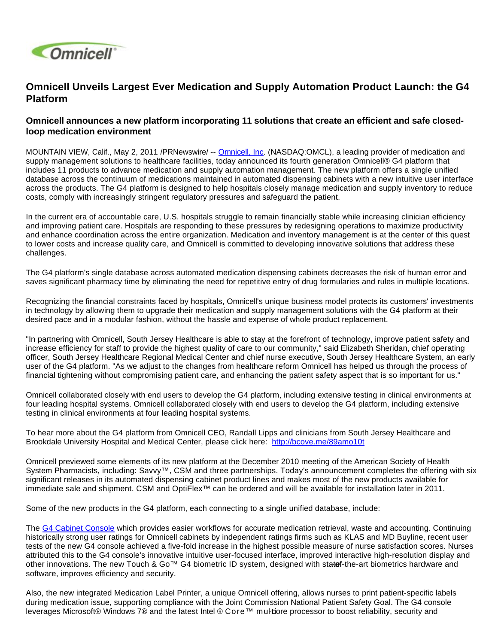

# **Omnicell Unveils Largest Ever Medication and Supply Automation Product Launch: the G4 Platform**

## **Omnicell announces a new platform incorporating 11 solutions that create an efficient and safe closedloop medication environment**

MOUNTAIN VIEW, Calif., May 2, 2011 /PRNewswire/ -- [Omnicell, Inc](http://www.omnicell.com/). (NASDAQ:OMCL), a leading provider of medication and supply management solutions to healthcare facilities, today announced its fourth generation Omnicell® G4 platform that includes 11 products to advance medication and supply automation management. The new platform offers a single unified database across the continuum of medications maintained in automated dispensing cabinets with a new intuitive user interface across the products. The G4 platform is designed to help hospitals closely manage medication and supply inventory to reduce costs, comply with increasingly stringent regulatory pressures and safeguard the patient.

In the current era of accountable care, U.S. hospitals struggle to remain financially stable while increasing clinician efficiency and improving patient care. Hospitals are responding to these pressures by redesigning operations to maximize productivity and enhance coordination across the entire organization. Medication and inventory management is at the center of this quest to lower costs and increase quality care, and Omnicell is committed to developing innovative solutions that address these challenges.

The G4 platform's single database across automated medication dispensing cabinets decreases the risk of human error and saves significant pharmacy time by eliminating the need for repetitive entry of drug formularies and rules in multiple locations.

Recognizing the financial constraints faced by hospitals, Omnicell's unique business model protects its customers' investments in technology by allowing them to upgrade their medication and supply management solutions with the G4 platform at their desired pace and in a modular fashion, without the hassle and expense of whole product replacement.

"In partnering with Omnicell, South Jersey Healthcare is able to stay at the forefront of technology, improve patient safety and increase efficiency for staff to provide the highest quality of care to our community," said Elizabeth Sheridan, chief operating officer, South Jersey Healthcare Regional Medical Center and chief nurse executive, South Jersey Healthcare System, an early user of the G4 platform. "As we adjust to the changes from healthcare reform Omnicell has helped us through the process of financial tightening without compromising patient care, and enhancing the patient safety aspect that is so important for us."

Omnicell collaborated closely with end users to develop the G4 platform, including extensive testing in clinical environments at four leading hospital systems. Omnicell collaborated closely with end users to develop the G4 platform, including extensive testing in clinical environments at four leading hospital systems.

To hear more about the G4 platform from Omnicell CEO, Randall Lipps and clinicians from South Jersey Healthcare and Brookdale University Hospital and Medical Center, please click here: <http://bcove.me/89amo10t>

Omnicell previewed some elements of its new platform at the December 2010 meeting of the American Society of Health System Pharmacists, including: Savvy™, CSM and three partnerships. Today's announcement completes the offering with six significant releases in its automated dispensing cabinet product lines and makes most of the new products available for immediate sale and shipment. CSM and OptiFlex™ can be ordered and will be available for installation later in 2011.

Some of the new products in the G4 platform, each connecting to a single unified database, include:

The [G4 Cabinet Console](http://www.omnicell.com/Solutions/Medication-Dispensing/Automated-Dispensing-Cabinets/Pages/default.aspx) which provides easier workflows for accurate medication retrieval, waste and accounting. Continuing historically strong user ratings for Omnicell cabinets by independent ratings firms such as KLAS and MD Buyline, recent user tests of the new G4 console achieved a five-fold increase in the highest possible measure of nurse satisfaction scores. Nurses attributed this to the G4 console's innovative intuitive user-focused interface, improved interactive high-resolution display and other innovations. The new Touch & Go™ G4 biometric ID system, designed with statef-the-art biometrics hardware and software, improves efficiency and security.

Also, the new integrated Medication Label Printer, a unique Omnicell offering, allows nurses to print patient-specific labels during medication issue, supporting compliance with the Joint Commission National Patient Safety Goal. The G4 console leverages Microsoft® Windows 7® and the latest Intel ® Core™ multiore processor to boost reliability, security and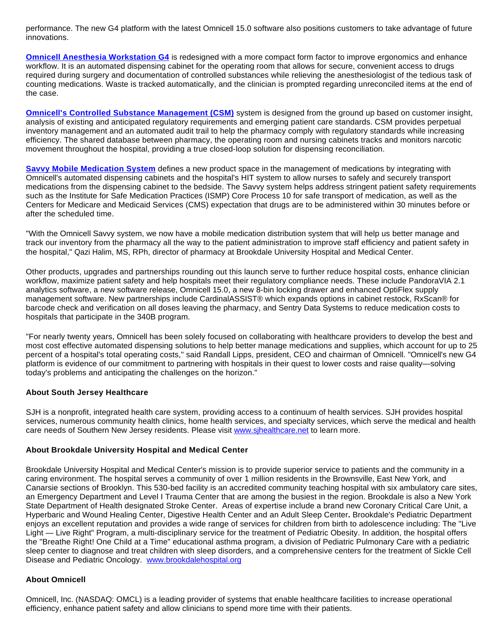performance. The new G4 platform with the latest Omnicell 15.0 software also positions customers to take advantage of future innovations.

**[Omnicell Anesthesia Workstation G4](http://www.omnicell.com/Solutions/Medication-Dispensing/Pages/Anesthesia-Workstation.aspx)** is redesigned with a more compact form factor to improve ergonomics and enhance workflow. It is an automated dispensing cabinet for the operating room that allows for secure, convenient access to drugs required during surgery and documentation of controlled substances while relieving the anesthesiologist of the tedious task of counting medications. Waste is tracked automatically, and the clinician is prompted regarding unreconciled items at the end of the case.

**[Omnicell's Controlled Substance Management \(CSM\)](http://www.omnicell.com/Solutions/Central-Pharmacy-Automation/Pages/ControlledSubstanceManagementSystem.aspx)** system is designed from the ground up based on customer insight, analysis of existing and anticipated regulatory requirements and emerging patient care standards. CSM provides perpetual inventory management and an automated audit trail to help the pharmacy comply with regulatory standards while increasing efficiency. The shared database between pharmacy, the operating room and nursing cabinets tracks and monitors narcotic movement throughout the hospital, providing a true closed-loop solution for dispensing reconciliation.

**[Savvy Mobile Medication System](http://www.omnicell.com/Solutions/Medication-Dispensing/Pages/Savvy.aspx)** defines a new product space in the management of medications by integrating with Omnicell's automated dispensing cabinets and the hospital's HIT system to allow nurses to safely and securely transport medications from the dispensing cabinet to the bedside. The Savvy system helps address stringent patient safety requirements such as the Institute for Safe Medication Practices (ISMP) Core Process 10 for safe transport of medication, as well as the Centers for Medicare and Medicaid Services (CMS) expectation that drugs are to be administered within 30 minutes before or after the scheduled time.

"With the Omnicell Savvy system, we now have a mobile medication distribution system that will help us better manage and track our inventory from the pharmacy all the way to the patient administration to improve staff efficiency and patient safety in the hospital," Qazi Halim, MS, RPh, director of pharmacy at Brookdale University Hospital and Medical Center.

Other products, upgrades and partnerships rounding out this launch serve to further reduce hospital costs, enhance clinician workflow, maximize patient safety and help hospitals meet their regulatory compliance needs. These include PandoraVIA 2.1 analytics software, a new software release, Omnicell 15.0, a new 8-bin locking drawer and enhanced OptiFlex supply management software. New partnerships include CardinalASSIST® which expands options in cabinet restock, RxScan® for barcode check and verification on all doses leaving the pharmacy, and Sentry Data Systems to reduce medication costs to hospitals that participate in the 340B program.

"For nearly twenty years, Omnicell has been solely focused on collaborating with healthcare providers to develop the best and most cost effective automated dispensing solutions to help better manage medications and supplies, which account for up to 25 percent of a hospital's total operating costs," said Randall Lipps, president, CEO and chairman of Omnicell. "Omnicell's new G4 platform is evidence of our commitment to partnering with hospitals in their quest to lower costs and raise quality—solving today's problems and anticipating the challenges on the horizon."

### **About South Jersey Healthcare**

SJH is a nonprofit, integrated health care system, providing access to a continuum of health services. SJH provides hospital services, numerous community health clinics, home health services, and specialty services, which serve the medical and health care needs of Southern New Jersey residents. Please visit www.sihealthcare.net to learn more.

### **About Brookdale University Hospital and Medical Center**

Brookdale University Hospital and Medical Center's mission is to provide superior service to patients and the community in a caring environment. The hospital serves a community of over 1 million residents in the Brownsville, East New York, and Canarsie sections of Brooklyn. This 530-bed facility is an accredited community teaching hospital with six ambulatory care sites, an Emergency Department and Level I Trauma Center that are among the busiest in the region. Brookdale is also a New York State Department of Health designated Stroke Center. Areas of expertise include a brand new Coronary Critical Care Unit, a Hyperbaric and Wound Healing Center, Digestive Health Center and an Adult Sleep Center**.** Brookdale's Pediatric Department enjoys an excellent reputation and provides a wide range of services for children from birth to adolescence including: The "Live Light — Live Right" Program, a multi-disciplinary service for the treatment of Pediatric Obesity. In addition, the hospital offers the "Breathe Right! One Child at a Time" educational asthma program, a division of Pediatric Pulmonary Care with a pediatric sleep center to diagnose and treat children with sleep disorders, and a comprehensive centers for the treatment of Sickle Cell Disease and Pediatric Oncology. [www.brookdalehospital.org](http://www.brookdalehospital.org/)

### **About Omnicell**

Omnicell, Inc. (NASDAQ: OMCL) is a leading provider of systems that enable healthcare facilities to increase operational efficiency, enhance patient safety and allow clinicians to spend more time with their patients.